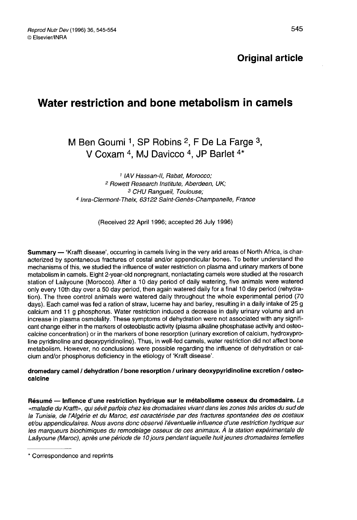# Water restriction and bone metabolism in camels

M Ben Goumi <sup>1</sup>, SP Robins <sup>2</sup>, F De La Farge  $3$ , V Coxam <sup>4</sup>. MJ Davicco <sup>4</sup>, JP Barlet <sup>4\*</sup>

<sup>1</sup> IAV Hassan-II, Rabat, Morocco; <sup>2</sup> Rowett Research Institute, Aberdeen, UK;<br><sup>3</sup> CHU Rangueil, Toulouse; <sup>4</sup> Inra-Clermont-Theix, 63122 Saint-Genès-Champanelle, France

(Received 22 April 1996; accepted 26 July 1996)

Summary — 'Krafft disease', occurring in camels living in the very arid areas of North Africa, is characterized by spontaneous fractures of costal and/or appendicular bones. To better understand the mechanisms of this, we studied the influence of water restriction on plasma and urinary markers of bone metabolism in camels. Eight 2-year-old nonpregnant, nonlactating camels were studied at the research station of Laâyoune (Morocco). After a 10 day period of daily watering, five animals were watered only every 10th day over a 50 day period, then again watered daily for a final 10 day period (rehydration). The three control animals were watered daily throughout the whole experimental period (70 days). Each camel was fed a ration of straw, lucerne hay and barley, resulting in a daily intake of 25 g calcium and 11 g phosphorus. Water restriction induced a decrease in daily urinary volume and an increase in plasma osmolality. These symptoms of dehydration were not associated with any signifi cant change either in the markers of osteoblastic activity (plasma alkaline phosphatase activity and osteocalcine concentration) or in the markers of bone resorption (urinary excretion of calcium, hydroxyproline pyridinoline and deoxypyridinoline). Thus, in well-fed camels, water restriction did not affect bone metabolism. However, no conclusions were possible regarding the influence of dehydration or calcium and/or phosphorus deficiency in the etiology of 'Kraft disease'.

## dromedary camel / dehydration / bone resorption / urinary deoxypyridinoline excretion / osteocalcine

Résumé ― Inflence d'une restriction hydrique sur le métabolisme osseux du dromadaire. La «maladie du Krafft», qui sévit parfois chez les dromadaires vivant dans les zones très arides du sud de la Tunisie, de l'Algérie et du Maroc, est caractérisée par des fractures spontanées des os costaux et/ou appendiculaires. Nous avons donc observé l'éventuelle influence d'une restriction hydrique sur les marqueurs biochimiques du remodelage osseux de ces animaux. À la station expérimentale de Laâyoune (Maroc), après une période de 10 jours pendant laquelle huit jeunes dromadaires femelles

<sup>\*</sup> Correspondence and reprints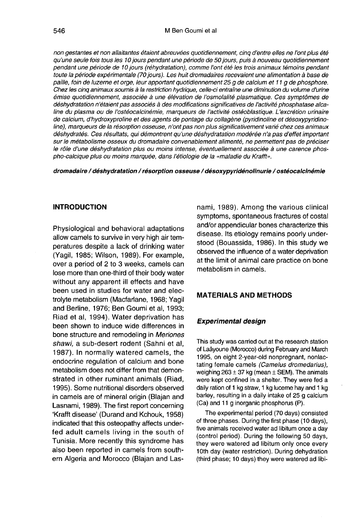non gestantes et non allaitantes étaient abreuvées quotidiennement, cinq d'entre elles ne l'ont plus été qu'une seule fois tous les 10 jours pendant une période de 50 jours, puis à nouveau quotidiennement pendant une période de 10 jours (réhydratation), comme l'ont été les trois animaux témoins pendant toute la période expérimentale (70 jours). Les huit dromadaires recevaient une alimentation à base de paille, foin de luzerne et orge, leur apportant quotidiennement 25 g de calcium et 11 g de phosphore. Chez les cinq animaux soumis à la restriction hydrique, celle-ci entraîne une diminution du volume d'urine émise quotidiennement, associée à une élévation de l'osmolalité plasmatique. Ces symptômes de déshydratation n'étaient pas associés à des modifications significatives de I activité phosphatase alcaline du plasma ou de l'ostéocalcinémie, marqueurs de l'activité ostéoblastique. L'excrétion urinaire de calcium, d'hydroxyproline et des agents de pontage du collagène (pyridinoline et désoxypyridinoline), marqueurs de la résorption osseuse, n'ont pas non plus significativement varié chez ces animaux déshydratés. Ces résultats, qui démontrent qu'une déshydratation modérée n'a pas d'effet important sur le métabolisme osseux du dromadaire convenablement alimenté, ne permettent pas de préciser le rôle d'une déshydratation plus ou moins intense, éventuellement associée à une carence phospho-calcique plus ou moins marquée, dans l'étiologie de la «maladie du Krafft».

#### dromadaire / déshydratation / résorption osseuse / désoxypyridénolinurie / ostéocalcinémie

### INTRODUCTION

Physiological and behavioral adaptations allow camels to survive in very high air temperatures despite a lack of drinking water (Yagil, 1985; Wilson, 1989). For example, over a period of 2 to 3 weeks, camels can lose more than one-third of their body water without any apparent ill effects and have been used in studies for water and electrolyte metabolism (Macfarlane, 1968; Yagil and Berline, 1976; Ben Goumi et al, 1993; Riad et al, 1994). Water deprivation has been shown to induce wide differences in bone structure and remodeling in Meriones shawi, a sub-desert rodent (Sahni et al, 1987). In normally watered camels, the endocrine regulation of calcium and bone metabolism does not differ from that demonstrated in other ruminant animals (Riad, 1995). Some nutritional disorders observed in camels are of mineral origin (Blajan and Lasnami, 1989). The first report concerning 'Krafft disease' (Durand and Kchouk, 1958) indicated that this osteopathy affects underfed adult camels living in the south of Tunisia. More recently this syndrome has also been reported in camels from southern Algeria and Morocco (Blajan and Lasnami, 1989). Among the various clinical symptoms, spontaneous fractures of costal and/or appendicular bones characterize this disease. Its etiology remains poorly understood (Bouassida, 1986). In this study we observed the influence of a water deprivation at the limit of animal care practice on bone metabolism in camels.

# MATERIALS AND METHODS

#### Experimental design

This study was carried out at the research station of Laâyoune (Morocco) during February and March 1995, on eight 2-year-old nonpregnant, nonlactating female camels (Camelus dromedarius), weighing 263  $\pm$  37 kg (mean  $\pm$  SEM). The animals were kept confined in a shelter. They were fed a daily ration of 1 kg straw, 1 kg lucerne hay and 1 kg barley, resulting in a daily intake of 25 g calcium (Ca) and 11 g inorganic phosphorus (P).

The experimental period (70 days) consisted of three phases. During the first phase (10 days), five animals received water ad libitum once a day (control period). During the following 50 days, they were watered ad libitum only once every 10th day (water restriction). During dehydration (third phase; 10 days) they were watered ad libi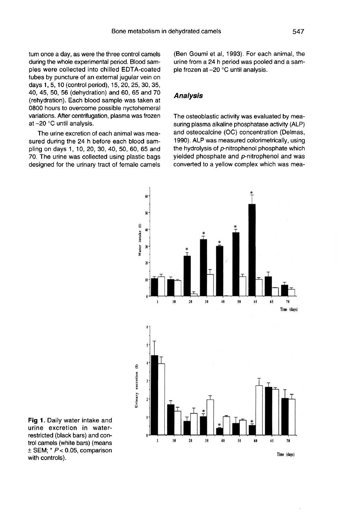tum once a day, as were the three control camels during the whole experimental period. Blood samples were collected into chilled EDTA-coated tubes by puncture of an external jugular vein on days 1, 5, 10 (control period), 15, 20, 25, 30, 35, 40, 45, 50, 56 (dehydration) and 60, 65 and 70 (rehydration). Each blood sample was taken at 0800 hours to overcome possible nyctohemeral variations. After centrifugation, plasma was frozen at-20 °C until analysis.

The urine excretion of each animal was measured during the 24 h before each blood sampling on days 1, 10, 20, 30, 40, 50, 60, 65 and 70. The urine was collected using plastic bags designed for the urinary tract of female camels

(Ben Goumi et al, 1993). For each animal, the urine from a 24 h period was pooled and a sample frozen at -20 °C until analysis.

## Analysis

The osteoblastic activity was evaluated by measuring plasma alkaline phosphatase activity (ALP) and osteocalcine (OC) concentration (Delmas, 1990). ALP was measured colorimetrically, using the hydrolysis of p-nitrophenol phosphate which yielded phosphate and p-nitrophenol and was converted to a yellow complex which was mea-



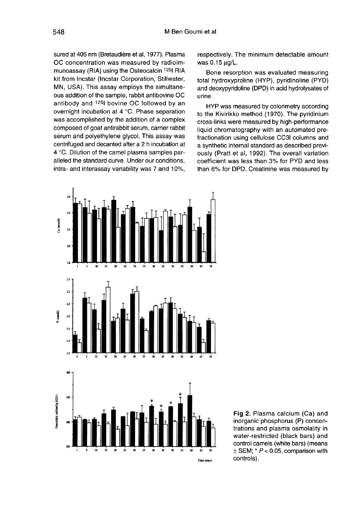sured at 405 nm (Bretaudière et al, 1977). Plasma OC concentration was measured by radioimmunoassay (RIA) using the Osteocalcin 125I RIA kit from Incstar (Incstar Corporation, Stillwater, MN, USA). This assay employs the simultaneous addition of the sample, rabbit antibovine OC antibody and <sup>125</sup>l bovine OC followed by an overnight incubation at 4 °C. Phase separation was accomplished by the addition of a complex composed of goat antirabbit serum, carrier rabbit serum and polyethylene glycol. This assay was centrifuged and decanted after a 2 h incubation at 4 °C. Dilution of the camel plasma samples paralleled the standard curve. Under our conditions, intra- and interassay variability was 7 and 10%, respectively. The minimum detectable amount was 0.15 fl9/L.

Bone resorption was evaluated measuring total hydroxyproline (HYP), pyridinoline (PYD) and deoxypyridoline (DPD) in acid hydrolysates of urine.

HYP was measured by colorimetry according to the Kivirikko method (1970). The pyridinium cross-links were measured by high-performance liquid chromatography with an automated prefractionation using cellulose CC31 columns and a synthetic internal standard as described previously (Pratt et al, 1992). The overall variation coefficient was less than 3% for PYD and less than 6% for DPD. Creatinine was measured by



Fig 2. Plasma calcium (Ca) and inorganic phosphorus (P) concentrations and plasma osmolality in water-restricted (black bars) and control camels (white bars) (means  $\pm$  SEM;  $*$  P < 0.05, comparison with controls).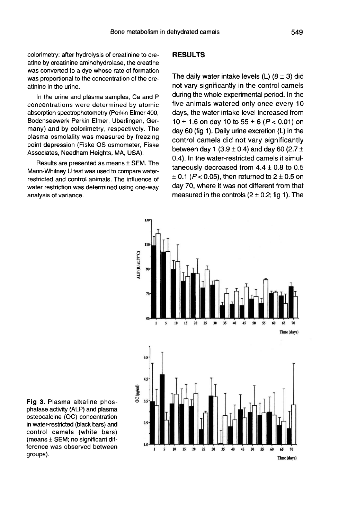colorimetry: after hydrolysis of creatinine to creatine by creatinine aminohydrolase, the creatine was converted to a dye whose rate of formation was proportional to the concentration of the creatinine in the urine.

In the urine and plasma samples, Ca and P concentrations were determined by atomic absorption spectrophotometry (Perkin Elmer 400, Bodenseewerk Perkin Elmer, Uberlingen, Germany) and by colorimetry, respectively. The plasma osmolality was measured by freezing point depression (Fiske OS osmometer, Fiske Associates, Needham Heights, MA, USA).

Results are presented as means ± SEM. The Mann-Whitney U test was used to compare waterrestricted and control animals. The influence of water restriction was determined using one-way analysis of variance.

# RESULTS

The daily water intake levels (L)  $(8 \pm 3)$  did not vary significantly in the control camels during the whole experimental period. In the five animals watered only once every 10 days, the water intake level increased from  $10 \pm 1.6$  on day 10 to  $55 \pm 6$  ( $P < 0.01$ ) on day 60 (fig 1). Daily urine excretion  $(L)$  in the control camels did not vary significantly between day 1 (3.9  $\pm$  0.4) and day 60 (2.7  $\pm$ 0.4). In the water-restricted camels it simultaneously decreased from  $4.4 \pm 0.8$  to 0.5  $\pm$  0.1 (P < 0.05), then returned to 2  $\pm$  0.5 on day 70, where it was not different from that measured in the controls  $(2 \pm 0.2;$  fig 1). The



Fig 3. Plasma alkaline phosphatase activity (ALP) and plasma osteocalcine (OC) concentration in water-restricted (black bars) and control camels (white bars) (means ± SEM; no significant difference was observed between groups).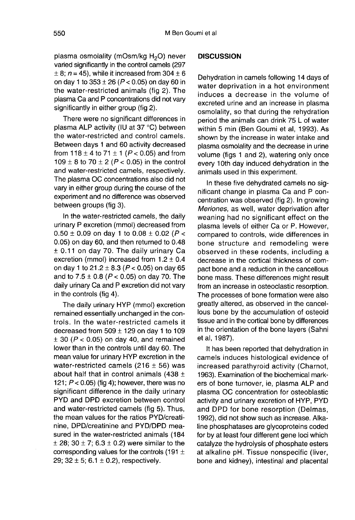plasma osmolality (mOsm/kg H<sub>2</sub>O) never varied significantly in the control camels (297  $\pm$  8; n = 45), while it increased from 304  $\pm$  6 on day 1 to  $353 \pm 26$  ( $P < 0.05$ ) on day 60 in the water-restricted animals (fig 2). The plasma Ca and P concentrations did not vary significantly in either group (fig 2).

There were no significant differences in plasma ALP activity (IU at 37 °C) between the water-restricted and control camels. Between days 1 and 60 activity decreased from  $118 \pm 4$  to  $71 \pm 1$  ( $P < 0.05$ ) and from 109  $\pm$  8 to 70  $\pm$  2 (P < 0.05) in the control and water-restricted camels, respectively. The plasma OC concentrations also did not vary in either group during the course of the experiment and no difference was observed between groups (fig 3).

In the water-restricted camels, the daily urinary P excretion (mmol) decreased from  $0.50 \pm 0.09$  on day 1 to  $0.08 \pm 0.02$  (P < 0.05) on day 60, and then returned to 0.48  $\pm$  0.11 on day 70. The daily urinary Ca excretion (mmol) increased from  $1.2 \pm 0.4$ on day 1 to  $21.2 \pm 8.3$  ( $P < 0.05$ ) on day 65 and to  $7.5 \pm 0.8$  ( $P < 0.05$ ) on day 70. The daily urinary Ca and P excretion did not vary in the controls (fig 4).

The daily urinary HYP (mmol) excretion remained essentially unchanged in the controls. In the water-restricted camels it decreased from  $509 \pm 129$  on day 1 to 109  $\pm$  30 (P < 0.05) on day 40, and remained lower than in the controls until day 60. The mean value for urinary HYP excretion in the water-restricted camels (216  $\pm$  56) was about half that in control animals (438  $\pm$ 121;  $P < 0.05$ ) (fig 4); however, there was no significant difference in the daily urinary PYD and DPD excretion between control and water-restricted camels (fig 5). Thus, the mean values for the ratios PYD/creatinine, DPD/creatinine and PYD/DPD measured in the water-restricted animals (184  $\pm$  28; 30  $\pm$  7; 6.3  $\pm$  0.2) were similar to the corresponding values for the controls (191  $\pm$ 29;  $32 \pm 5$ ;  $6.1 \pm 0.2$ ), respectively.

## **DISCUSSION**

Dehydration in camels following 14 days of water deprivation in a hot environment induces a decrease in the volume of excreted urine and an increase in plasma osmolality, so that during the rehydration period the animals can drink 75 L of water within 5 min (Ben Goumi et al, 1993). As shown by the increase in water intake and plasma osmolality and the decrease in urine volume (figs 1 and 2), watering only once every 10th day induced dehydration in the animals used in this experiment.

In these five dehydrated camels no significant change in plasma Ca and P concentration was observed (fig 2). In growing Meriones, as well, water deprivation after weaning had no significant effect on the plasma levels of either Ca or P. However, compared to controls, wide differences in bone structure and remodeling were observed in these rodents, including a decrease in the cortical thickness of compact bone and a reduction in the cancellous bone mass. These differences might result from an increase in osteoclastic resorption. The processes of bone formation were also greatly altered, as observed in the cancellous bone by the accumulation of osteoid tissue and in the cortical bone by differences in the orientation of the bone layers (Sahni et al, 1987).

It has been reported that dehydration in camels induces histological evidence of increased parathyroid activity (Charnot, 1963). Examination of the biochemical markers of bone turnover, ie, plasma ALP and plasma OC concentration for osteoblastic activity and urinary excretion of HYP, PYD and DPD for bone resorption (Delmas, 1992), did not show such as increase. Alkaline phosphatases are glycoproteins coded for by at least four different gene loci which catalyze the hydrolysis of phosphate esters at alkaline pH. Tissue nonspecific (liver, bone and kidney), intestinal and placental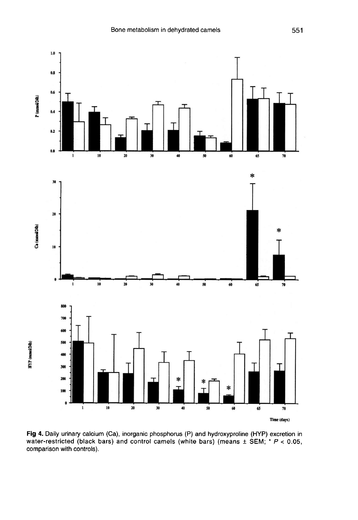

Fig 4. Daily urinary calcium (Ca), inorganic phosphorus (P) and hydroxyproline (HYP) excretion in water-restricted (black bars) and control camels (white bars) (means  $\pm$  SEM; \* P < 0.05, comparison with controls).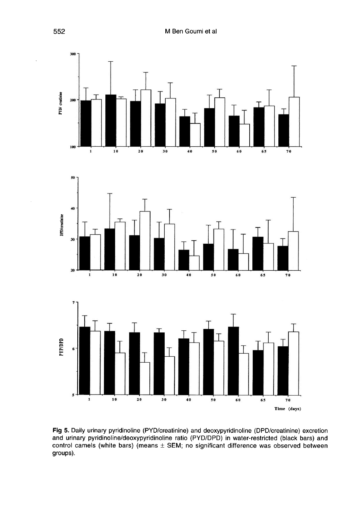





Fig 5. Daily urinary pyridinoline (PYD/creatinine) and deoxypyridinoline (DPD/creatinine) excretion and urinary pyridinoline/deoxypyridinoline ratio (PYD/DPD) in water-restricted (black bars) and control camels (white bars) (means  $\pm$  SEM; no significant difference was observed between groups).

552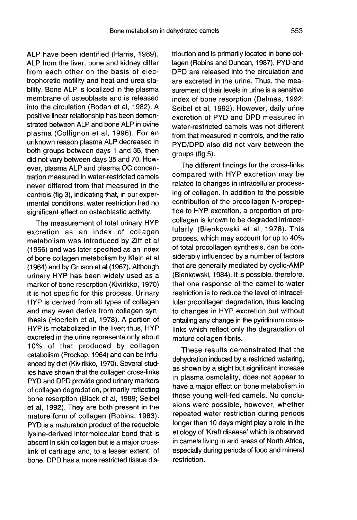ALP have been identified (Harris, 1989). ALP from the liver, bone and kidney differ from each other on the basis of electrophoretic motility and heat and urea stability. Bone ALP is localized in the plasma membrane of osteoblasts and is released into the circulation (Rodan et al, 1982). A positive linear relationship has been demonstrated between ALP and bone ALP in ovine plasma (Collignon et al, 1996). For an unknown reason plasma ALP decreased in both groups between days 1 and 35, then did not vary between days 35 and 70. However, plasma ALP and plasma OC concentration measured in water-restricted camels never differed from that measured in the controls (fig 3), indicating that, in our experimental conditions, water restriction had no significant effect on osteoblastic activity.

The measurement of total urinary HYP excretion as an index of collagen metabolism was introduced by Ziff et al (1956) and was later specified as an index of bone collagen metabolism by Klein et al (1964) and by Gruson et al (1967). Although urinary HYP has been widely used as a marker of bone resorption (Kivirikko, 1970) it is not specific for this process. Urinary HYP is derived from all types of collagen and may even derive from collagen synthesis (Hoerlein et al, 1978). A portion of HYP is metabolized in the liver; thus, HYP excreted in the urine represents only about 10% of that produced by collagen catabolism (Prockop, 1964) and can be influenced by diet (Kivirikko, 1970). Several studies have shown that the collagen cross-links PYD and DPD provide good urinary markers of collagen degradation, primarily reflecting bone resorption (Black et al, 1989; Seibel et al, 1992). They are both present in the mature form of collagen (Robins, 1983). PYD is a maturation product of the reducible lysine-derived intermolecular bond that is absent in skin collagen but is a major crosslink of cartilage and, to a lesser extent, of bone. DPD has a more restricted tissue distribution and is primarily located in bone collagen (Robins and Duncan, 1987). PYD and DPD are released into the circulation and are excreted in the urine. Thus, the measurement of their levels in urine is a sensitive index of bone resorption (Delmas, 1992; Seibel et al, 1992). However, daily urine excretion of PYD and DPD measured in water-restricted camels was not different from that measured in controls, and the ratio PYD/DPD also did not vary between the groups (fig 5).

The different findings for the cross-links compared with HYP excretion may be related to changes in intracellular processing of collagen. In addition to the possible contribution of the procollagen N-propeptide to HYP excretion, a proportion of procollagen is known to be degraded intracellularly (Bienkowski et al, 1978). This process, which may account for up to 40% of total procollagen synthesis, can be considerably influenced by a number of factors that are generally mediated by cyclic-AMP (Bienkowski, 1984). It is possible, therefore, that one response of the camel to water restriction is to reduce the level of intracellular procollagen degradation, thus leading to changes in HYP excretion but without entailing any change in the pyridinium crosslinks which reflect only the degradation of mature collagen fibrils.

These results demonstrated that the dehydration induced by a restricted watering, as shown by a slight but significant increase in plasma osmolality, does not appear to have a major effect on bone metabolism in these young well-fed camels. No conclusions were possible, however, whether repeated water restriction during periods longer than 10 days might play a role in the etiology of 'Kraft disease' which is observed in camels living in arid areas of North Africa, especially during periods of food and mineral restriction.